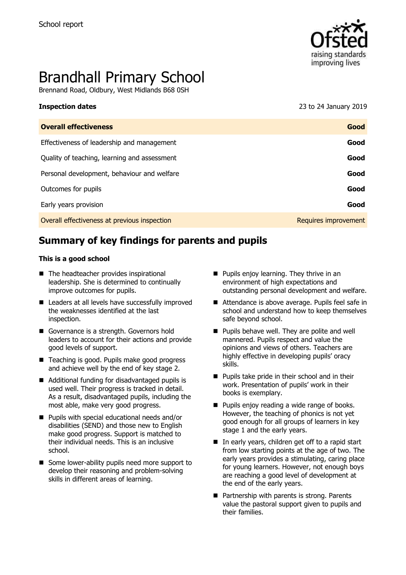

# Brandhall Primary School

Brennand Road, Oldbury, West Midlands B68 0SH

| <b>Inspection dates</b>                      | 23 to 24 January 2019 |
|----------------------------------------------|-----------------------|
| <b>Overall effectiveness</b>                 | Good                  |
| Effectiveness of leadership and management   | Good                  |
| Quality of teaching, learning and assessment | Good                  |
| Personal development, behaviour and welfare  | Good                  |
| Outcomes for pupils                          | Good                  |
| Early years provision                        | Good                  |
| Overall effectiveness at previous inspection | Requires improvement  |
|                                              |                       |

# **Summary of key findings for parents and pupils**

#### **This is a good school**

- The headteacher provides inspirational leadership. She is determined to continually improve outcomes for pupils.
- Leaders at all levels have successfully improved the weaknesses identified at the last inspection.
- Governance is a strength. Governors hold leaders to account for their actions and provide good levels of support.
- Teaching is good. Pupils make good progress and achieve well by the end of key stage 2.
- Additional funding for disadvantaged pupils is used well. Their progress is tracked in detail. As a result, disadvantaged pupils, including the most able, make very good progress.
- **Pupils with special educational needs and/or** disabilities (SEND) and those new to English make good progress. Support is matched to their individual needs. This is an inclusive school.
- Some lower-ability pupils need more support to develop their reasoning and problem-solving skills in different areas of learning.
- **Pupils enjoy learning. They thrive in an** environment of high expectations and outstanding personal development and welfare.
- Attendance is above average. Pupils feel safe in school and understand how to keep themselves safe beyond school.
- **Pupils behave well. They are polite and well** mannered. Pupils respect and value the opinions and views of others. Teachers are highly effective in developing pupils' oracy skills.
- **Pupils take pride in their school and in their** work. Presentation of pupils' work in their books is exemplary.
- **Pupils enjoy reading a wide range of books.** However, the teaching of phonics is not yet good enough for all groups of learners in key stage 1 and the early years.
- In early years, children get off to a rapid start from low starting points at the age of two. The early years provides a stimulating, caring place for young learners. However, not enough boys are reaching a good level of development at the end of the early years.
- **Partnership with parents is strong. Parents** value the pastoral support given to pupils and their families.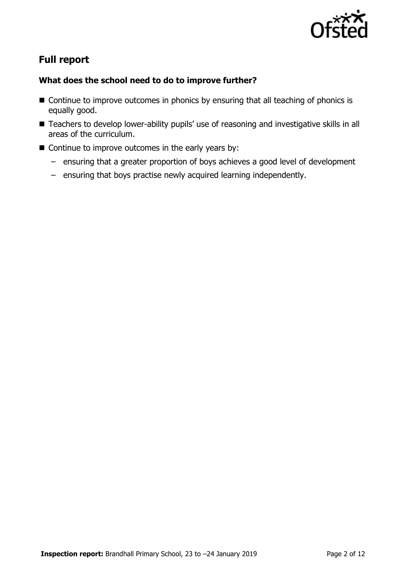

# **Full report**

### **What does the school need to do to improve further?**

- Continue to improve outcomes in phonics by ensuring that all teaching of phonics is equally good.
- Teachers to develop lower-ability pupils' use of reasoning and investigative skills in all areas of the curriculum.
- $\blacksquare$  Continue to improve outcomes in the early years by:
	- ensuring that a greater proportion of boys achieves a good level of development
	- ensuring that boys practise newly acquired learning independently.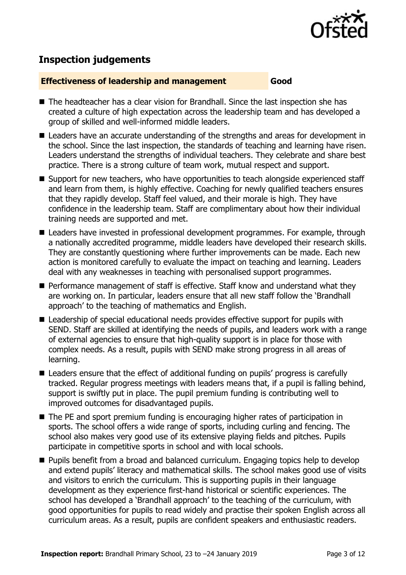

# **Inspection judgements**

#### **Effectiveness of leadership and management Good**

- The headteacher has a clear vision for Brandhall. Since the last inspection she has created a culture of high expectation across the leadership team and has developed a group of skilled and well-informed middle leaders.
- Leaders have an accurate understanding of the strengths and areas for development in the school. Since the last inspection, the standards of teaching and learning have risen. Leaders understand the strengths of individual teachers. They celebrate and share best practice. There is a strong culture of team work, mutual respect and support.
- Support for new teachers, who have opportunities to teach alongside experienced staff and learn from them, is highly effective. Coaching for newly qualified teachers ensures that they rapidly develop. Staff feel valued, and their morale is high. They have confidence in the leadership team. Staff are complimentary about how their individual training needs are supported and met.
- Leaders have invested in professional development programmes. For example, through a nationally accredited programme, middle leaders have developed their research skills. They are constantly questioning where further improvements can be made. Each new action is monitored carefully to evaluate the impact on teaching and learning. Leaders deal with any weaknesses in teaching with personalised support programmes.
- **Performance management of staff is effective. Staff know and understand what they** are working on. In particular, leaders ensure that all new staff follow the 'Brandhall approach' to the teaching of mathematics and English.
- Leadership of special educational needs provides effective support for pupils with SEND. Staff are skilled at identifying the needs of pupils, and leaders work with a range of external agencies to ensure that high-quality support is in place for those with complex needs. As a result, pupils with SEND make strong progress in all areas of learning.
- Leaders ensure that the effect of additional funding on pupils' progress is carefully tracked. Regular progress meetings with leaders means that, if a pupil is falling behind, support is swiftly put in place. The pupil premium funding is contributing well to improved outcomes for disadvantaged pupils.
- The PE and sport premium funding is encouraging higher rates of participation in sports. The school offers a wide range of sports, including curling and fencing. The school also makes very good use of its extensive playing fields and pitches. Pupils participate in competitive sports in school and with local schools.
- **Pupils benefit from a broad and balanced curriculum. Engaging topics help to develop** and extend pupils' literacy and mathematical skills. The school makes good use of visits and visitors to enrich the curriculum. This is supporting pupils in their language development as they experience first-hand historical or scientific experiences. The school has developed a 'Brandhall approach' to the teaching of the curriculum, with good opportunities for pupils to read widely and practise their spoken English across all curriculum areas. As a result, pupils are confident speakers and enthusiastic readers.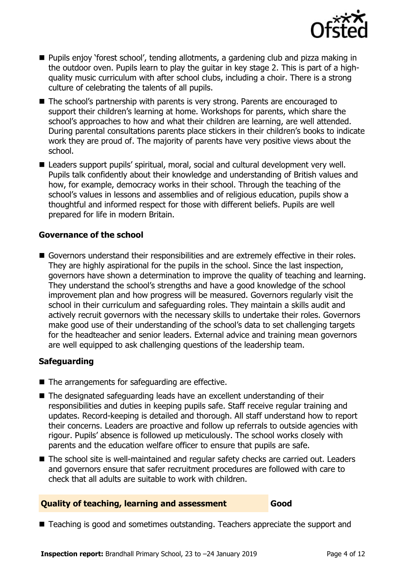

- Pupils enjoy 'forest school', tending allotments, a gardening club and pizza making in the outdoor oven. Pupils learn to play the guitar in key stage 2. This is part of a highquality music curriculum with after school clubs, including a choir. There is a strong culture of celebrating the talents of all pupils.
- The school's partnership with parents is very strong. Parents are encouraged to support their children's learning at home. Workshops for parents, which share the school's approaches to how and what their children are learning, are well attended. During parental consultations parents place stickers in their children's books to indicate work they are proud of. The majority of parents have very positive views about the school.
- Leaders support pupils' spiritual, moral, social and cultural development very well. Pupils talk confidently about their knowledge and understanding of British values and how, for example, democracy works in their school. Through the teaching of the school's values in lessons and assemblies and of religious education, pupils show a thoughtful and informed respect for those with different beliefs. Pupils are well prepared for life in modern Britain.

#### **Governance of the school**

Governors understand their responsibilities and are extremely effective in their roles. They are highly aspirational for the pupils in the school. Since the last inspection, governors have shown a determination to improve the quality of teaching and learning. They understand the school's strengths and have a good knowledge of the school improvement plan and how progress will be measured. Governors regularly visit the school in their curriculum and safeguarding roles. They maintain a skills audit and actively recruit governors with the necessary skills to undertake their roles. Governors make good use of their understanding of the school's data to set challenging targets for the headteacher and senior leaders. External advice and training mean governors are well equipped to ask challenging questions of the leadership team.

#### **Safeguarding**

- The arrangements for safeguarding are effective.
- The designated safeguarding leads have an excellent understanding of their responsibilities and duties in keeping pupils safe. Staff receive regular training and updates. Record-keeping is detailed and thorough. All staff understand how to report their concerns. Leaders are proactive and follow up referrals to outside agencies with rigour. Pupils' absence is followed up meticulously. The school works closely with parents and the education welfare officer to ensure that pupils are safe.
- The school site is well-maintained and regular safety checks are carried out. Leaders and governors ensure that safer recruitment procedures are followed with care to check that all adults are suitable to work with children.

#### **Quality of teaching, learning and assessment Good**

■ Teaching is good and sometimes outstanding. Teachers appreciate the support and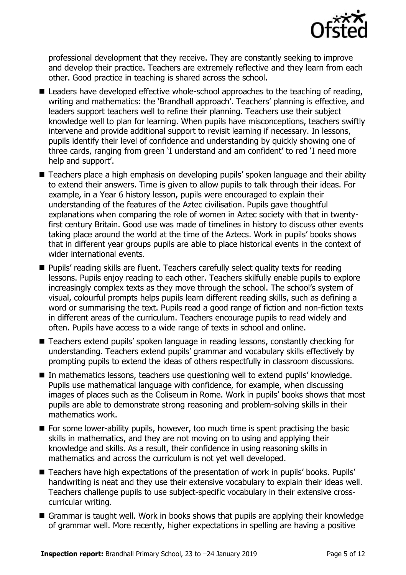

professional development that they receive. They are constantly seeking to improve and develop their practice. Teachers are extremely reflective and they learn from each other. Good practice in teaching is shared across the school.

- Leaders have developed effective whole-school approaches to the teaching of reading, writing and mathematics: the 'Brandhall approach'. Teachers' planning is effective, and leaders support teachers well to refine their planning. Teachers use their subject knowledge well to plan for learning. When pupils have misconceptions, teachers swiftly intervene and provide additional support to revisit learning if necessary. In lessons, pupils identify their level of confidence and understanding by quickly showing one of three cards, ranging from green 'I understand and am confident' to red 'I need more help and support'.
- Teachers place a high emphasis on developing pupils' spoken language and their ability to extend their answers. Time is given to allow pupils to talk through their ideas. For example, in a Year 6 history lesson, pupils were encouraged to explain their understanding of the features of the Aztec civilisation. Pupils gave thoughtful explanations when comparing the role of women in Aztec society with that in twentyfirst century Britain. Good use was made of timelines in history to discuss other events taking place around the world at the time of the Aztecs. Work in pupils' books shows that in different year groups pupils are able to place historical events in the context of wider international events.
- Pupils' reading skills are fluent. Teachers carefully select quality texts for reading lessons. Pupils enjoy reading to each other. Teachers skilfully enable pupils to explore increasingly complex texts as they move through the school. The school's system of visual, colourful prompts helps pupils learn different reading skills, such as defining a word or summarising the text. Pupils read a good range of fiction and non-fiction texts in different areas of the curriculum. Teachers encourage pupils to read widely and often. Pupils have access to a wide range of texts in school and online.
- Teachers extend pupils' spoken language in reading lessons, constantly checking for understanding. Teachers extend pupils' grammar and vocabulary skills effectively by prompting pupils to extend the ideas of others respectfully in classroom discussions.
- In mathematics lessons, teachers use questioning well to extend pupils' knowledge. Pupils use mathematical language with confidence, for example, when discussing images of places such as the Coliseum in Rome. Work in pupils' books shows that most pupils are able to demonstrate strong reasoning and problem-solving skills in their mathematics work.
- $\blacksquare$  For some lower-ability pupils, however, too much time is spent practising the basic skills in mathematics, and they are not moving on to using and applying their knowledge and skills. As a result, their confidence in using reasoning skills in mathematics and across the curriculum is not yet well developed.
- Teachers have high expectations of the presentation of work in pupils' books. Pupils' handwriting is neat and they use their extensive vocabulary to explain their ideas well. Teachers challenge pupils to use subject-specific vocabulary in their extensive crosscurricular writing.
- Grammar is taught well. Work in books shows that pupils are applying their knowledge of grammar well. More recently, higher expectations in spelling are having a positive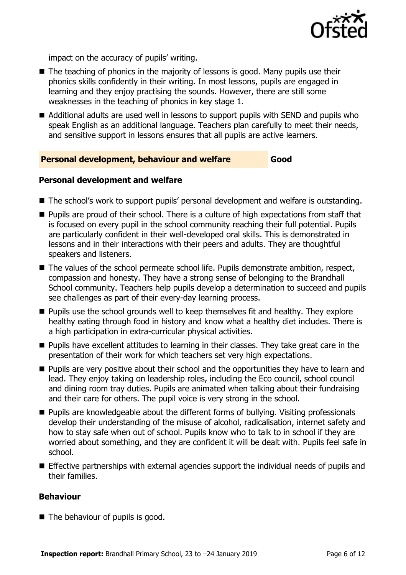

impact on the accuracy of pupils' writing.

- The teaching of phonics in the majority of lessons is good. Many pupils use their phonics skills confidently in their writing. In most lessons, pupils are engaged in learning and they enjoy practising the sounds. However, there are still some weaknesses in the teaching of phonics in key stage 1.
- Additional adults are used well in lessons to support pupils with SEND and pupils who speak English as an additional language. Teachers plan carefully to meet their needs, and sensitive support in lessons ensures that all pupils are active learners.

#### **Personal development, behaviour and welfare Good**

#### **Personal development and welfare**

- The school's work to support pupils' personal development and welfare is outstanding.
- **Pupils are proud of their school. There is a culture of high expectations from staff that** is focused on every pupil in the school community reaching their full potential. Pupils are particularly confident in their well-developed oral skills. This is demonstrated in lessons and in their interactions with their peers and adults. They are thoughtful speakers and listeners.
- The values of the school permeate school life. Pupils demonstrate ambition, respect, compassion and honesty. They have a strong sense of belonging to the Brandhall School community. Teachers help pupils develop a determination to succeed and pupils see challenges as part of their every-day learning process.
- **Pupils use the school grounds well to keep themselves fit and healthy. They explore** healthy eating through food in history and know what a healthy diet includes. There is a high participation in extra-curricular physical activities.
- **Pupils have excellent attitudes to learning in their classes. They take great care in the** presentation of their work for which teachers set very high expectations.
- **Pupils are very positive about their school and the opportunities they have to learn and** lead. They enjoy taking on leadership roles, including the Eco council, school council and dining room tray duties. Pupils are animated when talking about their fundraising and their care for others. The pupil voice is very strong in the school.
- **Pupils are knowledgeable about the different forms of bullying. Visiting professionals** develop their understanding of the misuse of alcohol, radicalisation, internet safety and how to stay safe when out of school. Pupils know who to talk to in school if they are worried about something, and they are confident it will be dealt with. Pupils feel safe in school.
- Effective partnerships with external agencies support the individual needs of pupils and their families.

#### **Behaviour**

■ The behaviour of pupils is good.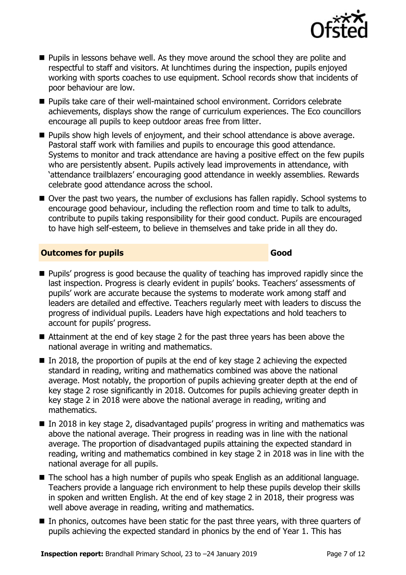

- **Pupils in lessons behave well. As they move around the school they are polite and** respectful to staff and visitors. At lunchtimes during the inspection, pupils enjoyed working with sports coaches to use equipment. School records show that incidents of poor behaviour are low.
- Pupils take care of their well-maintained school environment. Corridors celebrate achievements, displays show the range of curriculum experiences. The Eco councillors encourage all pupils to keep outdoor areas free from litter.
- **Pupils show high levels of enjoyment, and their school attendance is above average.** Pastoral staff work with families and pupils to encourage this good attendance. Systems to monitor and track attendance are having a positive effect on the few pupils who are persistently absent. Pupils actively lead improvements in attendance, with 'attendance trailblazers' encouraging good attendance in weekly assemblies. Rewards celebrate good attendance across the school.
- Over the past two years, the number of exclusions has fallen rapidly. School systems to encourage good behaviour, including the reflection room and time to talk to adults, contribute to pupils taking responsibility for their good conduct. Pupils are encouraged to have high self-esteem, to believe in themselves and take pride in all they do.

### **Outcomes for pupils Good**

- **Pupils' progress is good because the quality of teaching has improved rapidly since the** last inspection. Progress is clearly evident in pupils' books. Teachers' assessments of pupils' work are accurate because the systems to moderate work among staff and leaders are detailed and effective. Teachers regularly meet with leaders to discuss the progress of individual pupils. Leaders have high expectations and hold teachers to account for pupils' progress.
- Attainment at the end of key stage 2 for the past three years has been above the national average in writing and mathematics.
- $\blacksquare$  In 2018, the proportion of pupils at the end of key stage 2 achieving the expected standard in reading, writing and mathematics combined was above the national average. Most notably, the proportion of pupils achieving greater depth at the end of key stage 2 rose significantly in 2018. Outcomes for pupils achieving greater depth in key stage 2 in 2018 were above the national average in reading, writing and mathematics.
- In 2018 in key stage 2, disadvantaged pupils' progress in writing and mathematics was above the national average. Their progress in reading was in line with the national average. The proportion of disadvantaged pupils attaining the expected standard in reading, writing and mathematics combined in key stage 2 in 2018 was in line with the national average for all pupils.
- The school has a high number of pupils who speak English as an additional language. Teachers provide a language rich environment to help these pupils develop their skills in spoken and written English. At the end of key stage 2 in 2018, their progress was well above average in reading, writing and mathematics.
- In phonics, outcomes have been static for the past three years, with three quarters of pupils achieving the expected standard in phonics by the end of Year 1. This has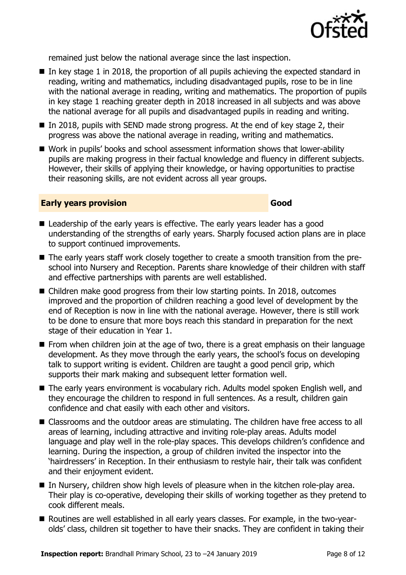

remained just below the national average since the last inspection.

- $\blacksquare$  In key stage 1 in 2018, the proportion of all pupils achieving the expected standard in reading, writing and mathematics, including disadvantaged pupils, rose to be in line with the national average in reading, writing and mathematics. The proportion of pupils in key stage 1 reaching greater depth in 2018 increased in all subjects and was above the national average for all pupils and disadvantaged pupils in reading and writing.
- In 2018, pupils with SEND made strong progress. At the end of key stage 2, their progress was above the national average in reading, writing and mathematics.
- Work in pupils' books and school assessment information shows that lower-ability pupils are making progress in their factual knowledge and fluency in different subjects. However, their skills of applying their knowledge, or having opportunities to practise their reasoning skills, are not evident across all year groups.

#### **Early years provision Good Good**

- Leadership of the early years is effective. The early years leader has a good understanding of the strengths of early years. Sharply focused action plans are in place to support continued improvements.
- The early years staff work closely together to create a smooth transition from the preschool into Nursery and Reception. Parents share knowledge of their children with staff and effective partnerships with parents are well established.
- Children make good progress from their low starting points. In 2018, outcomes improved and the proportion of children reaching a good level of development by the end of Reception is now in line with the national average. However, there is still work to be done to ensure that more boys reach this standard in preparation for the next stage of their education in Year 1.
- **From when children join at the age of two, there is a great emphasis on their language** development. As they move through the early years, the school's focus on developing talk to support writing is evident. Children are taught a good pencil grip, which supports their mark making and subsequent letter formation well.
- The early years environment is vocabulary rich. Adults model spoken English well, and they encourage the children to respond in full sentences. As a result, children gain confidence and chat easily with each other and visitors.
- Classrooms and the outdoor areas are stimulating. The children have free access to all areas of learning, including attractive and inviting role-play areas. Adults model language and play well in the role-play spaces. This develops children's confidence and learning. During the inspection, a group of children invited the inspector into the 'hairdressers' in Reception. In their enthusiasm to restyle hair, their talk was confident and their enjoyment evident.
- In Nursery, children show high levels of pleasure when in the kitchen role-play area. Their play is co-operative, developing their skills of working together as they pretend to cook different meals.
- Routines are well established in all early years classes. For example, in the two-yearolds' class, children sit together to have their snacks. They are confident in taking their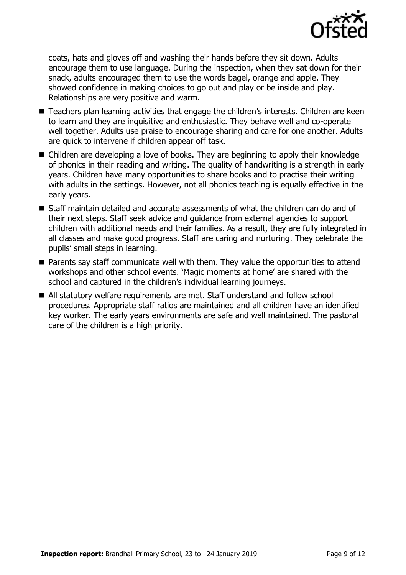

coats, hats and gloves off and washing their hands before they sit down. Adults encourage them to use language. During the inspection, when they sat down for their snack, adults encouraged them to use the words bagel, orange and apple. They showed confidence in making choices to go out and play or be inside and play. Relationships are very positive and warm.

- Teachers plan learning activities that engage the children's interests. Children are keen to learn and they are inquisitive and enthusiastic. They behave well and co-operate well together. Adults use praise to encourage sharing and care for one another. Adults are quick to intervene if children appear off task.
- Children are developing a love of books. They are beginning to apply their knowledge of phonics in their reading and writing. The quality of handwriting is a strength in early years. Children have many opportunities to share books and to practise their writing with adults in the settings. However, not all phonics teaching is equally effective in the early years.
- $\blacksquare$  Staff maintain detailed and accurate assessments of what the children can do and of their next steps. Staff seek advice and guidance from external agencies to support children with additional needs and their families. As a result, they are fully integrated in all classes and make good progress. Staff are caring and nurturing. They celebrate the pupils' small steps in learning.
- Parents say staff communicate well with them. They value the opportunities to attend workshops and other school events. 'Magic moments at home' are shared with the school and captured in the children's individual learning journeys.
- All statutory welfare requirements are met. Staff understand and follow school procedures. Appropriate staff ratios are maintained and all children have an identified key worker. The early years environments are safe and well maintained. The pastoral care of the children is a high priority.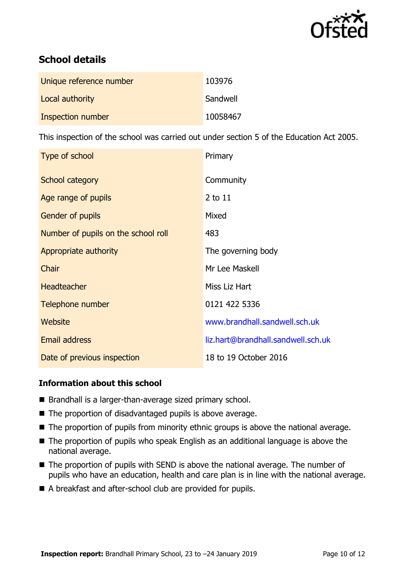

# **School details**

| Unique reference number  | 103976   |
|--------------------------|----------|
| Local authority          | Sandwell |
| <b>Inspection number</b> | 10058467 |

This inspection of the school was carried out under section 5 of the Education Act 2005.

| Type of school                      | Primary                            |
|-------------------------------------|------------------------------------|
| School category                     | Community                          |
| Age range of pupils                 | 2 to 11                            |
| Gender of pupils                    | Mixed                              |
| Number of pupils on the school roll | 483                                |
| Appropriate authority               | The governing body                 |
| Chair                               | Mr Lee Maskell                     |
| <b>Headteacher</b>                  | Miss Liz Hart                      |
| Telephone number                    | 0121 422 5336                      |
| Website                             | www.brandhall.sandwell.sch.uk      |
| Email address                       | liz.hart@brandhall.sandwell.sch.uk |
| Date of previous inspection         | 18 to 19 October 2016              |

### **Information about this school**

- Brandhall is a larger-than-average sized primary school.
- The proportion of disadvantaged pupils is above average.
- The proportion of pupils from minority ethnic groups is above the national average.
- The proportion of pupils who speak English as an additional language is above the national average.
- The proportion of pupils with SEND is above the national average. The number of pupils who have an education, health and care plan is in line with the national average.
- A breakfast and after-school club are provided for pupils.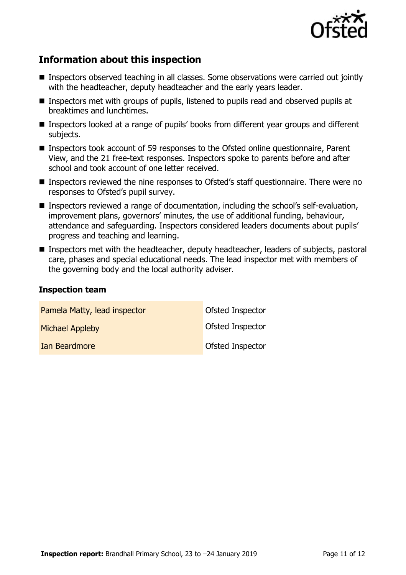

## **Information about this inspection**

- Inspectors observed teaching in all classes. Some observations were carried out jointly with the headteacher, deputy headteacher and the early years leader.
- Inspectors met with groups of pupils, listened to pupils read and observed pupils at breaktimes and lunchtimes.
- Inspectors looked at a range of pupils' books from different year groups and different subjects.
- Inspectors took account of 59 responses to the Ofsted online questionnaire, Parent View, and the 21 free-text responses. Inspectors spoke to parents before and after school and took account of one letter received.
- Inspectors reviewed the nine responses to Ofsted's staff questionnaire. There were no responses to Ofsted's pupil survey.
- Inspectors reviewed a range of documentation, including the school's self-evaluation, improvement plans, governors' minutes, the use of additional funding, behaviour, attendance and safeguarding. Inspectors considered leaders documents about pupils' progress and teaching and learning.
- **Inspectors met with the headteacher, deputy headteacher, leaders of subjects, pastoral** care, phases and special educational needs. The lead inspector met with members of the governing body and the local authority adviser.

#### **Inspection team**

| Pamela Matty, lead inspector | Ofsted Inspector |
|------------------------------|------------------|
| <b>Michael Appleby</b>       | Ofsted Inspector |
| Ian Beardmore                | Ofsted Inspector |